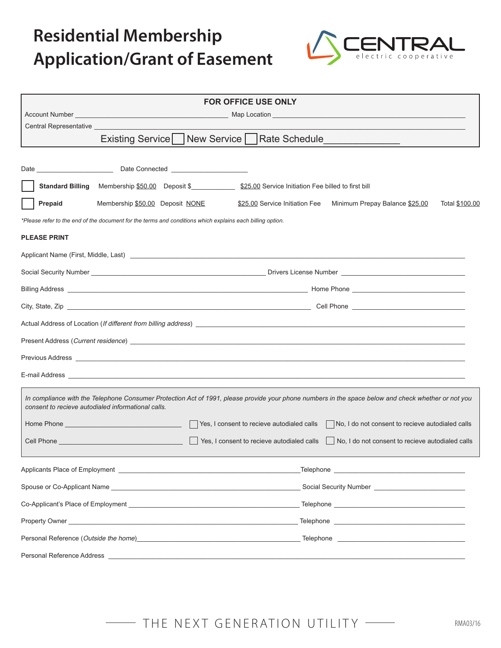

|                                      |                                                                                                           | <b>FOR OFFICE USE ONLY</b>                                                                                                                                                                                                     |
|--------------------------------------|-----------------------------------------------------------------------------------------------------------|--------------------------------------------------------------------------------------------------------------------------------------------------------------------------------------------------------------------------------|
|                                      |                                                                                                           |                                                                                                                                                                                                                                |
| Central Representative _____________ |                                                                                                           |                                                                                                                                                                                                                                |
|                                      |                                                                                                           | Existing Service New Service   Rate Schedule ___________________________________                                                                                                                                               |
|                                      |                                                                                                           |                                                                                                                                                                                                                                |
|                                      |                                                                                                           |                                                                                                                                                                                                                                |
| <b>Standard Billing</b>              |                                                                                                           | Membership \$50.00 Deposit \$ \$25.00 Service Initiation Fee billed to first bill                                                                                                                                              |
| Prepaid                              | Membership \$50.00 Deposit NONE                                                                           | \$25.00 Service Initiation Fee Minimum Prepay Balance \$25.00<br>Total \$100.00                                                                                                                                                |
|                                      | *Please refer to the end of the document for the terms and conditions which explains each billing option. |                                                                                                                                                                                                                                |
| <b>PLEASE PRINT</b>                  |                                                                                                           |                                                                                                                                                                                                                                |
|                                      |                                                                                                           |                                                                                                                                                                                                                                |
|                                      |                                                                                                           |                                                                                                                                                                                                                                |
|                                      |                                                                                                           |                                                                                                                                                                                                                                |
|                                      |                                                                                                           |                                                                                                                                                                                                                                |
|                                      |                                                                                                           | Actual Address of Location (If different from billing address) example to the control of the control of the control of the control of the control of the control of the control of the control of the control of the control o |
|                                      |                                                                                                           |                                                                                                                                                                                                                                |
|                                      |                                                                                                           |                                                                                                                                                                                                                                |
|                                      |                                                                                                           |                                                                                                                                                                                                                                |
|                                      | consent to recieve autodialed informational calls.                                                        | In compliance with the Telephone Consumer Protection Act of 1991, please provide your phone numbers in the space below and check whether or not you                                                                            |
|                                      |                                                                                                           | No, I do not consent to recieve autodialed calls                                                                                                                                                                               |
|                                      |                                                                                                           | Cell Phone <b>Cell Phone</b> 2014 <b>Cell Phone</b> 2015 <b>Cell Phone</b> 2015 <b>Cell Phone</b> 2015 <b>Cell Phone</b> 2015<br>No, I do not consent to recieve autodialed calls                                              |
|                                      |                                                                                                           |                                                                                                                                                                                                                                |
|                                      |                                                                                                           | Spouse or Co-Applicant Name Contract Communication of the Contract Communication of the Communication of the Communication of the Communication of the Communication of the Communication of the Communication of the Communic |
|                                      |                                                                                                           |                                                                                                                                                                                                                                |
|                                      |                                                                                                           |                                                                                                                                                                                                                                |
|                                      |                                                                                                           | Personal Reference (Outside the home) example and the set of the set of the set of the set of the set of the set of the set of the set of the set of the set of the set of the set of the set of the set of the set of the set |
| Personal Reference Address           |                                                                                                           |                                                                                                                                                                                                                                |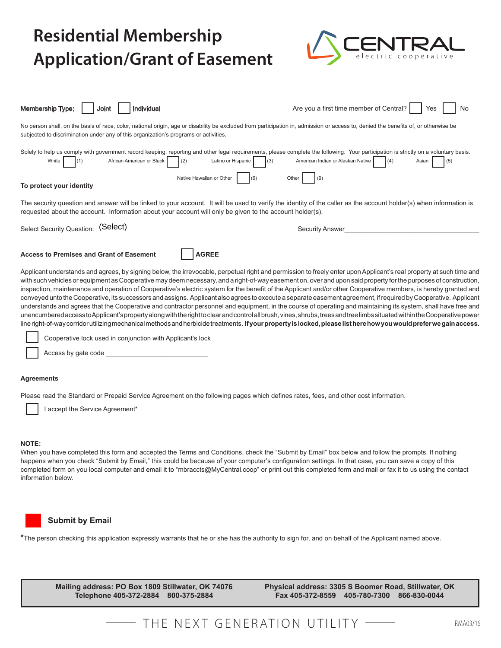

| Individual<br><b>Membership Type:</b><br>Joint                                                                                                                                                                                                                                                                                                                                                                                                                                                                                                                                                                                                                                                                                                                                                                                                                                                                                                                                                                                                                                                                                                                                                        | Are you a first time member of Central?<br>No<br>Yes            |  |  |  |
|-------------------------------------------------------------------------------------------------------------------------------------------------------------------------------------------------------------------------------------------------------------------------------------------------------------------------------------------------------------------------------------------------------------------------------------------------------------------------------------------------------------------------------------------------------------------------------------------------------------------------------------------------------------------------------------------------------------------------------------------------------------------------------------------------------------------------------------------------------------------------------------------------------------------------------------------------------------------------------------------------------------------------------------------------------------------------------------------------------------------------------------------------------------------------------------------------------|-----------------------------------------------------------------|--|--|--|
| No person shall, on the basis of race, color, national origin, age or disability be excluded from participation in, admission or access to, denied the benefits of, or otherwise be<br>subjected to discrimination under any of this organization's programs or activities.                                                                                                                                                                                                                                                                                                                                                                                                                                                                                                                                                                                                                                                                                                                                                                                                                                                                                                                           |                                                                 |  |  |  |
| Solely to help us comply with government record keeping, reporting and other legal requirements, please complete the following. Your participation is strictly on a voluntary basis.<br>African American or Black<br>White<br>(2)<br>Latino or Hispanic<br>(1)                                                                                                                                                                                                                                                                                                                                                                                                                                                                                                                                                                                                                                                                                                                                                                                                                                                                                                                                        | American Indian or Alaskan Native<br>(4)<br>(3)<br>(5)<br>Asian |  |  |  |
| Native Hawaiian or Other<br>(6)<br>To protect your identity                                                                                                                                                                                                                                                                                                                                                                                                                                                                                                                                                                                                                                                                                                                                                                                                                                                                                                                                                                                                                                                                                                                                           | Other<br>(9)                                                    |  |  |  |
| The security question and answer will be linked to your account. It will be used to verify the identity of the caller as the account holder(s) when information is<br>requested about the account. Information about your account will only be given to the account holder(s).                                                                                                                                                                                                                                                                                                                                                                                                                                                                                                                                                                                                                                                                                                                                                                                                                                                                                                                        |                                                                 |  |  |  |
| Select Security Question: (Select)                                                                                                                                                                                                                                                                                                                                                                                                                                                                                                                                                                                                                                                                                                                                                                                                                                                                                                                                                                                                                                                                                                                                                                    | <b>Security Answer</b>                                          |  |  |  |
| <b>AGREE</b><br><b>Access to Premises and Grant of Easement</b>                                                                                                                                                                                                                                                                                                                                                                                                                                                                                                                                                                                                                                                                                                                                                                                                                                                                                                                                                                                                                                                                                                                                       |                                                                 |  |  |  |
| Applicant understands and agrees, by signing below, the irrevocable, perpetual right and permission to freely enter upon Applicant's real property at such time and<br>with such vehicles or equipment as Cooperative may deem necessary, and a right-of-way easement on, over and upon said property for the purposes of construction,<br>inspection, maintenance and operation of Cooperative's electric system for the benefit of the Applicant and/or other Cooperative members, is hereby granted and<br>conveyed unto the Cooperative, its successors and assigns. Applicant also agrees to execute a separate easement agreement, if required by Cooperative. Applicant<br>understands and agrees that the Cooperative and contractor personnel and equipment, in the course of operating and maintaining its system, shall have free and<br>unencumbered access to Applicant's property along with the right to clear and control all brush, vines, shrubs, trees and tree limbs situated within the Cooperative power<br>line right-of-way corridor utilizing mechanical methods and herbicide treatments. If your property is locked, please list here how you would prefer we gain access. |                                                                 |  |  |  |
| Cooperative lock used in conjunction with Applicant's lock                                                                                                                                                                                                                                                                                                                                                                                                                                                                                                                                                                                                                                                                                                                                                                                                                                                                                                                                                                                                                                                                                                                                            |                                                                 |  |  |  |
| Access by gate code                                                                                                                                                                                                                                                                                                                                                                                                                                                                                                                                                                                                                                                                                                                                                                                                                                                                                                                                                                                                                                                                                                                                                                                   |                                                                 |  |  |  |
| <b>Agreements</b>                                                                                                                                                                                                                                                                                                                                                                                                                                                                                                                                                                                                                                                                                                                                                                                                                                                                                                                                                                                                                                                                                                                                                                                     |                                                                 |  |  |  |

Please read the Standard or Prepaid Service Agreement on the following pages which defines rates, fees, and other cost information.

I accept the Service Agreement\*

#### **NOTE:**

When you have completed this form and accepted the Terms and Conditions, check the "Submit by Email" box below and follow the prompts. If nothing happens when you check "Submit by Email," this could be because of your computer's configuration settings. In that case, you can save a copy of this completed form on you local computer and email it to "mbraccts@MyCentral.coop" or print out this completed form and mail or fax it to us using the contact information below.



#### **Submit by Email**

**\***The person checking this application expressly warrants that he or she has the authority to sign for, and on behalf of the Applicant named above.

**Mailing address: PO Box 1809 Stillwater, OK 74076 Telephone 405-372-2884 800-375-2884**

**Physical address: 3305 S Boomer Road, Stillwater, OK Fax 405-372-8559 405-780-7300 866-830-0044**

## THE NEXT GENERATION UTILITY -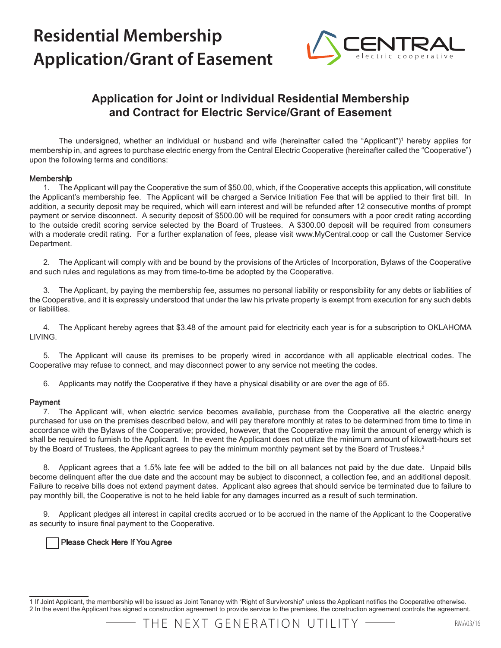

### **Application for Joint or Individual Residential Membership and Contract for Electric Service/Grant of Easement**

The undersigned, whether an individual or husband and wife (hereinafter called the "Applicant")<sup>1</sup> hereby applies for membership in, and agrees to purchase electric energy from the Central Electric Cooperative (hereinafter called the "Cooperative") upon the following terms and conditions:

#### Membership

1. The Applicant will pay the Cooperative the sum of \$50.00, which, if the Cooperative accepts this application, will constitute the Applicant's membership fee. The Applicant will be charged a Service Initiation Fee that will be applied to their first bill. In addition, a security deposit may be required, which will earn interest and will be refunded after 12 consecutive months of prompt payment or service disconnect. A security deposit of \$500.00 will be required for consumers with a poor credit rating according to the outside credit scoring service selected by the Board of Trustees. A \$300.00 deposit will be required from consumers with a moderate credit rating. For a further explanation of fees, please visit www.MyCentral.coop or call the Customer Service Department.

2. The Applicant will comply with and be bound by the provisions of the Articles of Incorporation, Bylaws of the Cooperative and such rules and regulations as may from time-to-time be adopted by the Cooperative.

3. The Applicant, by paying the membership fee, assumes no personal liability or responsibility for any debts or liabilities of the Cooperative, and it is expressly understood that under the law his private property is exempt from execution for any such debts or liabilities.

4. The Applicant hereby agrees that \$3.48 of the amount paid for electricity each year is for a subscription to OKLAHOMA LIVING.

5. The Applicant will cause its premises to be properly wired in accordance with all applicable electrical codes. The Cooperative may refuse to connect, and may disconnect power to any service not meeting the codes.

6. Applicants may notify the Cooperative if they have a physical disability or are over the age of 65.

#### Payment

7. The Applicant will, when electric service becomes available, purchase from the Cooperative all the electric energy purchased for use on the premises described below, and will pay therefore monthly at rates to be determined from time to time in accordance with the Bylaws of the Cooperative; provided, however, that the Cooperative may limit the amount of energy which is shall be required to furnish to the Applicant. In the event the Applicant does not utilize the minimum amount of kilowatt-hours set by the Board of Trustees, the Applicant agrees to pay the minimum monthly payment set by the Board of Trustees.<sup>2</sup>

8. Applicant agrees that a 1.5% late fee will be added to the bill on all balances not paid by the due date. Unpaid bills become delinquent after the due date and the account may be subject to disconnect, a collection fee, and an additional deposit. Failure to receive bills does not extend payment dates. Applicant also agrees that should service be terminated due to failure to pay monthly bill, the Cooperative is not to he held liable for any damages incurred as a result of such termination.

9. Applicant pledges all interest in capital credits accrued or to be accrued in the name of the Applicant to the Cooperative as security to insure final payment to the Cooperative.

#### Please Check Here If You Agree

<sup>1</sup> If Joint Applicant, the membership will be issued as Joint Tenancy with "Right of Survivorship" unless the Applicant notifies the Cooperative otherwise. 2 In the event the Applicant has signed a construction agreement to provide service to the premises, the construction agreement controls the agreement.